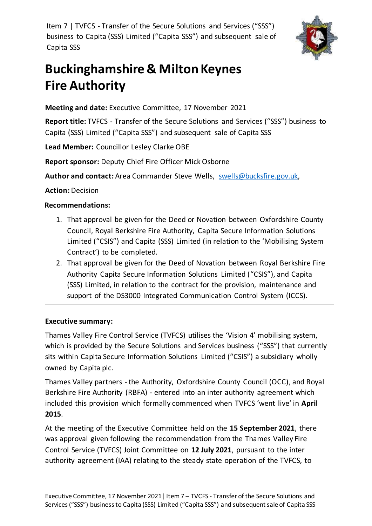Item 7 | TVFCS - Transfer of the Secure Solutions and Services ("SSS") business to Capita (SSS) Limited ("Capita SSS") and subsequent sale of Capita SSS



# **Buckinghamshire & Milton Keynes Fire Authority**

**Meeting and date:** Executive Committee, 17 November 2021

**Report title:** TVFCS - Transfer of the Secure Solutions and Services ("SSS") business to Capita (SSS) Limited ("Capita SSS") and subsequent sale of Capita SSS

**Lead Member:** Councillor Lesley Clarke OBE

**Report sponsor:** Deputy Chief Fire Officer Mick Osborne

**Author and contact:** Area Commander Steve Wells, [swells@bucksfire.gov.uk,](mailto:swells@bucksfire.gov.uk) 

**Action:** Decision

# **Recommendations:**

- 1. That approval be given for the Deed or Novation between Oxfordshire County Council, Royal Berkshire Fire Authority, Capita Secure Information Solutions Limited ("CSIS") and Capita (SSS) Limited (in relation to the 'Mobilising System Contract') to be completed.
- 2. That approval be given for the Deed of Novation between Royal Berkshire Fire Authority Capita Secure Information Solutions Limited ("CSIS"), and Capita (SSS) Limited, in relation to the contract for the provision, maintenance and support of the DS3000 Integrated Communication Control System (ICCS).

# **Executive summary:**

Thames Valley Fire Control Service (TVFCS) utilises the 'Vision 4' mobilising system, which is provided by the Secure Solutions and Services business ("SSS") that currently sits within Capita Secure Information Solutions Limited ("CSIS") a subsidiary wholly owned by Capita plc.

Thames Valley partners - the Authority, Oxfordshire County Council (OCC), and Royal Berkshire Fire Authority (RBFA) - entered into an inter authority agreement which included this provision which formally commenced when TVFCS 'went live' in **April 2015**.

At the meeting of the Executive Committee held on the **15 September 2021**, there was approval given following the recommendation from the Thames Valley Fire Control Service (TVFCS) Joint Committee on **12 July 2021**, pursuant to the inter authority agreement (IAA) relating to the steady state operation of the TVFCS, to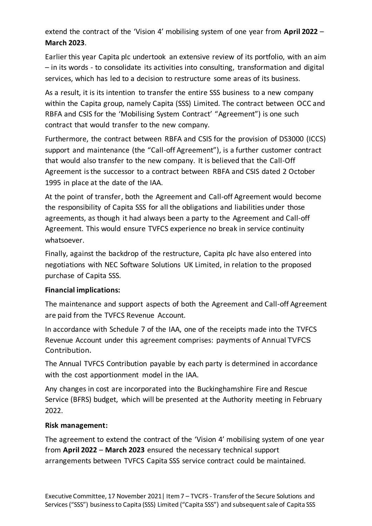extend the contract of the 'Vision 4' mobilising system of one year from **April 2022** – **March 2023**.

Earlier this year Capita plc undertook an extensive review of its portfolio, with an aim – in its words - to consolidate its activities into consulting, transformation and digital services, which has led to a decision to restructure some areas of its business.

As a result, it is its intention to transfer the entire SSS business to a new company within the Capita group, namely Capita (SSS) Limited. The contract between OCC and RBFA and CSIS for the 'Mobilising System Contract' "Agreement") is one such contract that would transfer to the new company.

Furthermore, the contract between RBFA and CSIS for the provision of DS3000 (ICCS) support and maintenance (the "Call-off Agreement"), is a further customer contract that would also transfer to the new company. It is believed that the Call-Off Agreement is the successor to a contract between RBFA and CSIS dated 2 October 1995 in place at the date of the IAA.

At the point of transfer, both the Agreement and Call-off Agreement would become the responsibility of Capita SSS for all the obligations and liabilities under those agreements, as though it had always been a party to the Agreement and Call-off Agreement. This would ensure TVFCS experience no break in service continuity whatsoever.

Finally, against the backdrop of the restructure, Capita plc have also entered into negotiations with NEC Software Solutions UK Limited, in relation to the proposed purchase of Capita SSS.

# **Financial implications:**

The maintenance and support aspects of both the Agreement and Call-off Agreement are paid from the TVFCS Revenue Account.

In accordance with Schedule 7 of the IAA, one of the receipts made into the TVFCS Revenue Account under this agreement comprises: payments of Annual TVFCS Contribution.

The Annual TVFCS Contribution payable by each party is determined in accordance with the cost apportionment model in the IAA.

Any changes in cost are incorporated into the Buckinghamshire Fire and Rescue Service (BFRS) budget, which will be presented at the Authority meeting in February 2022.

### **Risk management:**

The agreement to extend the contract of the 'Vision 4' mobilising system of one year from **April 2022** – **March 2023** ensured the necessary technical support arrangements between TVFCS Capita SSS service contract could be maintained.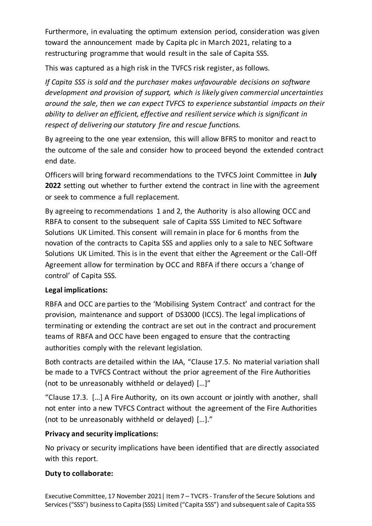Furthermore, in evaluating the optimum extension period, consideration was given toward the announcement made by Capita plc in March 2021, relating to a restructuring programme that would result in the sale of Capita SSS.

This was captured as a high risk in the TVFCS risk register, as follows.

*If Capita SSS is sold and the purchaser makes unfavourable decisions on software development and provision of support, which is likely given commercial uncertainties around the sale, then we can expect TVFCS to experience substantial impacts on their ability to deliver an efficient, effective and resilient service which is significant in respect of delivering our statutory fire and rescue functions.*

By agreeing to the one year extension, this will allow BFRS to monitor and react to the outcome of the sale and consider how to proceed beyond the extended contract end date.

Officers will bring forward recommendations to the TVFCS Joint Committee in **July 2022** setting out whether to further extend the contract in line with the agreement or seek to commence a full replacement.

By agreeing to recommendations 1 and 2, the Authority is also allowing OCC and RBFA to consent to the subsequent sale of Capita SSS Limited to NEC Software Solutions UK Limited. This consent will remain in place for 6 months from the novation of the contracts to Capita SSS and applies only to a sale to NEC Software Solutions UK Limited. This is in the event that either the Agreement or the Call-Off Agreement allow for termination by OCC and RBFA if there occurs a 'change of control' of Capita SSS.

# **Legal implications:**

RBFA and OCC are parties to the 'Mobilising System Contract' and contract for the provision, maintenance and support of DS3000 (ICCS). The legal implications of terminating or extending the contract are set out in the contract and procurement teams of RBFA and OCC have been engaged to ensure that the contracting authorities comply with the relevant legislation.

Both contracts are detailed within the IAA, "Clause 17.5. No material variation shall be made to a TVFCS Contract without the prior agreement of the Fire Authorities (not to be unreasonably withheld or delayed) […]"

"Clause 17.3. […] A Fire Authority, on its own account or jointly with another, shall not enter into a new TVFCS Contract without the agreement of the Fire Authorities (not to be unreasonably withheld or delayed) […]."

# **Privacy and security implications:**

No privacy or security implications have been identified that are directly associated with this report.

# **Duty to collaborate:**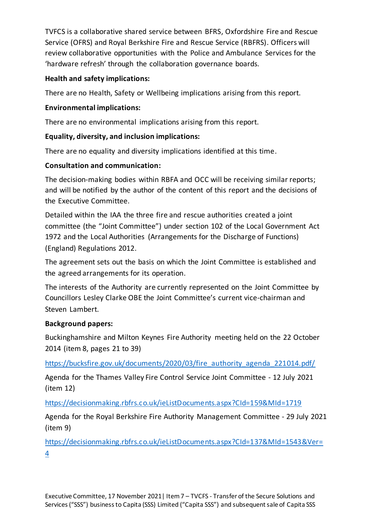TVFCS is a collaborative shared service between BFRS, Oxfordshire Fire and Rescue Service (OFRS) and Royal Berkshire Fire and Rescue Service (RBFRS). Officers will review collaborative opportunities with the Police and Ambulance Services for the 'hardware refresh' through the collaboration governance boards.

# **Health and safety implications:**

There are no Health, Safety or Wellbeing implications arising from this report.

# **Environmental implications:**

There are no environmental implications arising from this report.

# **Equality, diversity, and inclusion implications:**

There are no equality and diversity implications identified at this time.

# **Consultation and communication:**

The decision-making bodies within RBFA and OCC will be receiving similar reports; and will be notified by the author of the content of this report and the decisions of the Executive Committee.

Detailed within the IAA the three fire and rescue authorities created a joint committee (the "Joint Committee") under section 102 of the Local Government Act 1972 and the Local Authorities (Arrangements for the Discharge of Functions) (England) Regulations 2012.

The agreement sets out the basis on which the Joint Committee is established and the agreed arrangements for its operation.

The interests of the Authority are currently represented on the Joint Committee by Councillors Lesley Clarke OBE the Joint Committee's current vice-chairman and Steven Lambert.

# **Background papers:**

Buckinghamshire and Milton Keynes Fire Authority meeting held on the 22 October 2014 (item 8, pages 21 to 39)

[https://bucksfire.gov.uk/documents/2020/03/fire\\_authority\\_agenda\\_221014.pdf/](https://bucksfire.gov.uk/documents/2020/03/fire_authority_agenda_221014.pdf/)

Agenda for the Thames Valley Fire Control Service Joint Committee - 12 July 2021 (item 12)

<https://decisionmaking.rbfrs.co.uk/ieListDocuments.aspx?CId=159&MId=1719>

Agenda for the Royal Berkshire Fire Authority Management Committee - 29 July 2021 (item 9)

[https://decisionmaking.rbfrs.co.uk/ieListDocuments.aspx?CId=137&MId=1543&Ver=](https://decisionmaking.rbfrs.co.uk/ieListDocuments.aspx?CId=137&MId=1543&Ver=4) [4](https://decisionmaking.rbfrs.co.uk/ieListDocuments.aspx?CId=137&MId=1543&Ver=4)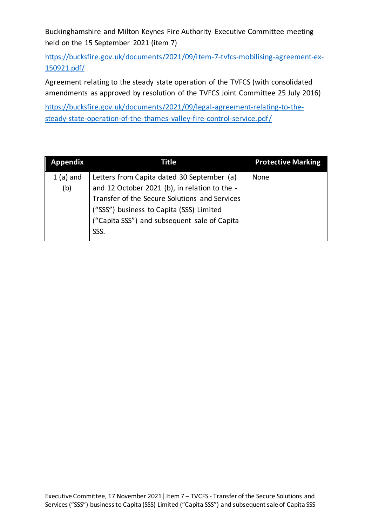Buckinghamshire and Milton Keynes Fire Authority Executive Committee meeting held on the 15 September 2021 (item 7)

[https://bucksfire.gov.uk/documents/2021/09/item-7-tvfcs-mobilising-agreement-ex-](https://bucksfire.gov.uk/documents/2021/09/item-7-tvfcs-mobilising-agreement-ex-150921.pdf/)[150921.pdf/](https://bucksfire.gov.uk/documents/2021/09/item-7-tvfcs-mobilising-agreement-ex-150921.pdf/)

Agreement relating to the steady state operation of the TVFCS (with consolidated amendments as approved by resolution of the TVFCS Joint Committee 25 July 2016)

[https://bucksfire.gov.uk/documents/2021/09/legal-agreement-relating-to-the](https://bucksfire.gov.uk/documents/2021/09/legal-agreement-relating-to-the-steady-state-operation-of-the-thames-valley-fire-control-service.pdf/)[steady-state-operation-of-the-thames-valley-fire-control-service.pdf/](https://bucksfire.gov.uk/documents/2021/09/legal-agreement-relating-to-the-steady-state-operation-of-the-thames-valley-fire-control-service.pdf/)

| Appendix   | Title                                         | <b>Protective Marking</b> |
|------------|-----------------------------------------------|---------------------------|
| $1(a)$ and | Letters from Capita dated 30 September (a)    | None                      |
| (b)        | and 12 October 2021 (b), in relation to the - |                           |
|            | Transfer of the Secure Solutions and Services |                           |
|            | ("SSS") business to Capita (SSS) Limited      |                           |
|            | ("Capita SSS") and subsequent sale of Capita  |                           |
|            | SSS.                                          |                           |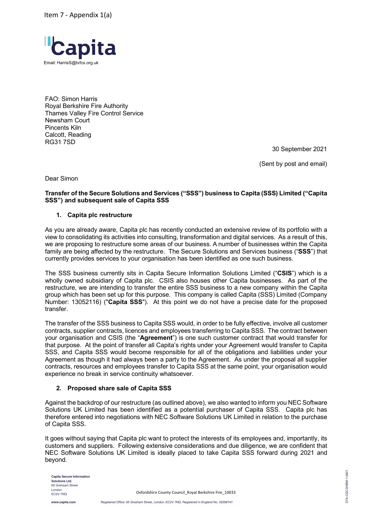Item 7 - Appendix 1(a)



FAO: Simon Harris Royal Berkshire Fire Authority Thames Valley Fire Control Service Newsham Court Pincents Kiln Calcott, Reading RG31 7SD

30 September 2021

(Sent by post and email)

Dear Simon

#### **Transfer of the Secure Solutions and Services ("SSS") business to Capita (SSS) Limited ("Capita SSS") and subsequent sale of Capita SSS**

#### **1. Capita plc restructure**

As you are already aware, Capita plc has recently conducted an extensive review of its portfolio with a view to consolidating its activities into consulting, transformation and digital services. As a result of this, we are proposing to restructure some areas of our business. A number of businesses within the Capita family are being affected by the restructure. The Secure Solutions and Services business ("**SSS**") that currently provides services to your organisation has been identified as one such business.

The SSS business currently sits in Capita Secure Information Solutions Limited ("**CSIS**") which is a wholly owned subsidiary of Capita plc. CSIS also houses other Capita businesses. As part of the restructure, we are intending to transfer the entire SSS business to a new company within the Capita group which has been set up for this purpose. This company is called Capita (SSS) Limited (Company Number: 13052116) ("**Capita SSS**"). At this point we do not have a precise date for the proposed transfer.

The transfer of the SSS business to Capita SSS would, in order to be fully effective, involve all customer contracts, supplier contracts, licences and employees transferring to Capita SSS. The contract between your organisation and CSIS (the "**Agreement**") is one such customer contract that would transfer for that purpose. At the point of transfer all Capita's rights under your Agreement would transfer to Capita SSS, and Capita SSS would become responsible for all of the obligations and liabilities under your Agreement as though it had always been a party to the Agreement. As under the proposal all supplier contracts, resources and employees transfer to Capita SSS at the same point, your organisation would experience no break in service continuity whatsoever.

#### **2. Proposed share sale of Capita SSS**

Against the backdrop of our restructure (as outlined above), we also wanted to inform you NEC Software Solutions UK Limited has been identified as a potential purchaser of Capita SSS. Capita plc has therefore entered into negotiations with NEC Software Solutions UK Limited in relation to the purchase of Capita SSS.

It goes without saying that Capita plc want to protect the interests of its employees and, importantly, its customers and suppliers. Following extensive considerations and due diligence, we are confident that NEC Software Solutions UK Limited is ideally placed to take Capita SSS forward during 2021 and beyond.

**Capita Secure Information Solutions Ltd.** 65 Grehsam Street London EC2V 7NQ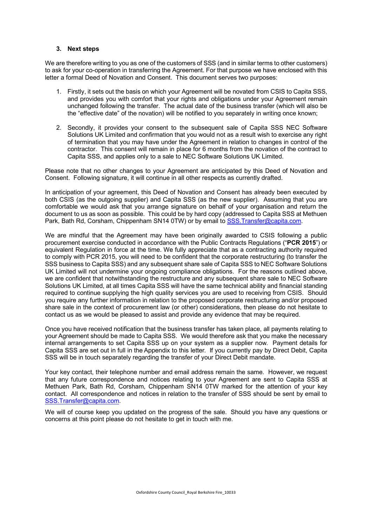#### **3. Next steps**

We are therefore writing to you as one of the customers of SSS (and in similar terms to other customers) to ask for your co-operation in transferring the Agreement. For that purpose we have enclosed with this letter a formal Deed of Novation and Consent. This document serves two purposes:

- 1. Firstly, it sets out the basis on which your Agreement will be novated from CSIS to Capita SSS, and provides you with comfort that your rights and obligations under your Agreement remain unchanged following the transfer. The actual date of the business transfer (which will also be the "effective date" of the novation) will be notified to you separately in writing once known;
- 2. Secondly, it provides your consent to the subsequent sale of Capita SSS NEC Software Solutions UK Limited and confirmation that you would not as a result wish to exercise any right of termination that you may have under the Agreement in relation to changes in control of the contractor. This consent will remain in place for 6 months from the novation of the contract to Capita SSS, and applies only to a sale to NEC Software Solutions UK Limited.

Please note that no other changes to your Agreement are anticipated by this Deed of Novation and Consent. Following signature, it will continue in all other respects as currently drafted.

In anticipation of your agreement, this Deed of Novation and Consent has already been executed by both CSIS (as the outgoing supplier) and Capita SSS (as the new supplier). Assuming that you are comfortable we would ask that you arrange signature on behalf of your organisation and return the document to us as soon as possible. This could be by hard copy (addressed to Capita SSS at Methuen Park, Bath Rd, Corsham, Chippenham SN14 0TW) or by email to SSS.Transfer@capita.com.

We are mindful that the Agreement may have been originally awarded to CSIS following a public procurement exercise conducted in accordance with the Public Contracts Regulations ("**PCR 2015**") or equivalent Regulation in force at the time. We fully appreciate that as a contracting authority required to comply with PCR 2015, you will need to be confident that the corporate restructuring (to transfer the SSS business to Capita SSS) and any subsequent share sale of Capita SSS to NEC Software Solutions UK Limited will not undermine your ongoing compliance obligations. For the reasons outlined above, we are confident that notwithstanding the restructure and any subsequent share sale to NEC Software Solutions UK Limited, at all times Capita SSS will have the same technical ability and financial standing required to continue supplying the high quality services you are used to receiving from CSIS. Should you require any further information in relation to the proposed corporate restructuring and/or proposed share sale in the context of procurement law (or other) considerations, then please do not hesitate to contact us as we would be pleased to assist and provide any evidence that may be required.

Once you have received notification that the business transfer has taken place, all payments relating to your Agreement should be made to Capita SSS. We would therefore ask that you make the necessary internal arrangements to set Capita SSS up on your system as a supplier now. Payment details for Capita SSS are set out in full in the Appendix to this letter. If you currently pay by Direct Debit, Capita SSS will be in touch separately regarding the transfer of your Direct Debit mandate.

Your key contact, their telephone number and email address remain the same. However, we request that any future correspondence and notices relating to your Agreement are sent to Capita SSS at Methuen Park, Bath Rd, Corsham, Chippenham SN14 0TW marked for the attention of your key contact. All correspondence and notices in relation to the transfer of SSS should be sent by email to SSS.Transfer@capita.com.

We will of course keep you updated on the progress of the sale. Should you have any questions or concerns at this point please do not hesitate to get in touch with me.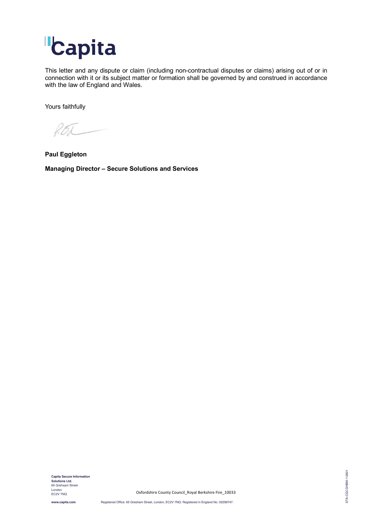

This letter and any dispute or claim (including non-contractual disputes or claims) arising out of or in connection with it or its subject matter or formation shall be governed by and construed in accordance with the law of England and Wales.

Yours faithfully

P.BL

**Paul Eggleton** 

**Managing Director – Secure Solutions and Services**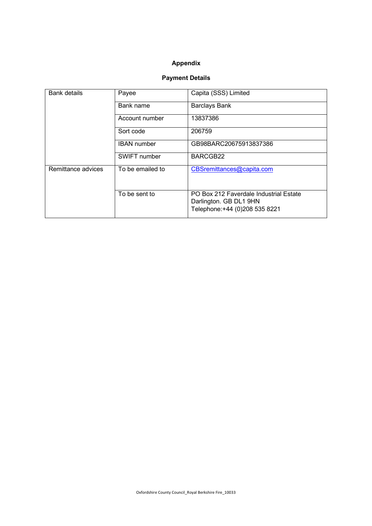#### **Appendix**

### **Payment Details**

| <b>Bank details</b> | Payee              | Capita (SSS) Limited                                                                               |  |  |  |  |  |  |  |  |
|---------------------|--------------------|----------------------------------------------------------------------------------------------------|--|--|--|--|--|--|--|--|
|                     | Bank name          | <b>Barclays Bank</b>                                                                               |  |  |  |  |  |  |  |  |
|                     | Account number     | 13837386                                                                                           |  |  |  |  |  |  |  |  |
|                     | Sort code          | 206759                                                                                             |  |  |  |  |  |  |  |  |
|                     | <b>IBAN</b> number | GB98BARC20675913837386                                                                             |  |  |  |  |  |  |  |  |
|                     | SWIFT number       | BARCGB22                                                                                           |  |  |  |  |  |  |  |  |
| Remittance advices  | To be emailed to   | CBSremittances@capita.com                                                                          |  |  |  |  |  |  |  |  |
|                     | To be sent to      | PO Box 212 Faverdale Industrial Estate<br>Darlington. GB DL1 9HN<br>Telephone: +44 (0)208 535 8221 |  |  |  |  |  |  |  |  |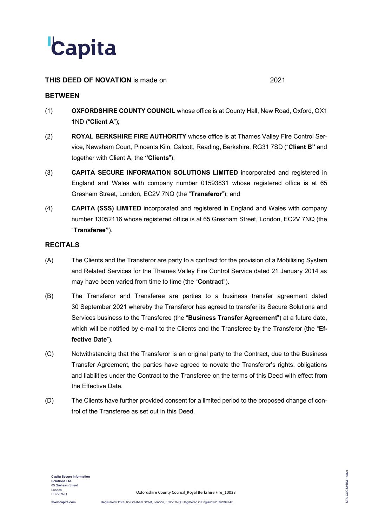

#### **THIS DEED OF NOVATION** is made on 2021

#### **BETWEEN**

- (1) **OXFORDSHIRE COUNTY COUNCIL** whose office is at County Hall, New Road, Oxford, OX1 1ND ("**Client A**");
- (2) **ROYAL BERKSHIRE FIRE AUTHORITY** whose office is at Thames Valley Fire Control Service, Newsham Court, Pincents Kiln, Calcott, Reading, Berkshire, RG31 7SD ("**Client B"** and together with Client A, the **"Clients**");
- (3) **CAPITA SECURE INFORMATION SOLUTIONS LIMITED** incorporated and registered in England and Wales with company number 01593831 whose registered office is at 65 Gresham Street, London, EC2V 7NQ (the "**Transferor**"); and
- (4) **CAPITA (SSS) LIMITED** incorporated and registered in England and Wales with company number 13052116 whose registered office is at 65 Gresham Street, London, EC2V 7NQ (the "**Transferee"**).

#### **RECITALS**

- (A) The Clients and the Transferor are party to a contract for the provision of a Mobilising System and Related Services for the Thames Valley Fire Control Service dated 21 January 2014 as may have been varied from time to time (the "**Contract**").
- (B) The Transferor and Transferee are parties to a business transfer agreement dated 30 September 2021 whereby the Transferor has agreed to transfer its Secure Solutions and Services business to the Transferee (the "**Business Transfer Agreement**") at a future date, which will be notified by e-mail to the Clients and the Transferee by the Transferor (the "**Effective Date**").
- (C) Notwithstanding that the Transferor is an original party to the Contract, due to the Business Transfer Agreement, the parties have agreed to novate the Transferor's rights, obligations and liabilities under the Contract to the Transferee on the terms of this Deed with effect from the Effective Date.
- (D) The Clients have further provided consent for a limited period to the proposed change of control of the Transferee as set out in this Deed.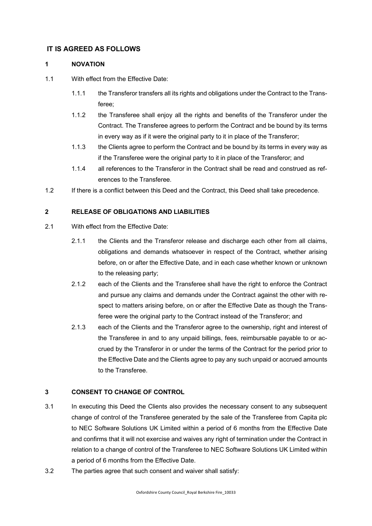#### **IT IS AGREED AS FOLLOWS**

#### **1 NOVATION**

- 1.1 With effect from the Effective Date:
	- 1.1.1 the Transferor transfers all its rights and obligations under the Contract to the Transferee;
	- 1.1.2 the Transferee shall enjoy all the rights and benefits of the Transferor under the Contract. The Transferee agrees to perform the Contract and be bound by its terms in every way as if it were the original party to it in place of the Transferor;
	- 1.1.3 the Clients agree to perform the Contract and be bound by its terms in every way as if the Transferee were the original party to it in place of the Transferor; and
	- 1.1.4 all references to the Transferor in the Contract shall be read and construed as references to the Transferee.
- 1.2 If there is a conflict between this Deed and the Contract, this Deed shall take precedence.

#### **2 RELEASE OF OBLIGATIONS AND LIABILITIES**

- 2.1 With effect from the Effective Date:
	- 2.1.1 the Clients and the Transferor release and discharge each other from all claims, obligations and demands whatsoever in respect of the Contract, whether arising before, on or after the Effective Date, and in each case whether known or unknown to the releasing party;
	- 2.1.2 each of the Clients and the Transferee shall have the right to enforce the Contract and pursue any claims and demands under the Contract against the other with respect to matters arising before, on or after the Effective Date as though the Transferee were the original party to the Contract instead of the Transferor; and
	- 2.1.3 each of the Clients and the Transferor agree to the ownership, right and interest of the Transferee in and to any unpaid billings, fees, reimbursable payable to or accrued by the Transferor in or under the terms of the Contract for the period prior to the Effective Date and the Clients agree to pay any such unpaid or accrued amounts to the Transferee.

#### **3 CONSENT TO CHANGE OF CONTROL**

- 3.1 In executing this Deed the Clients also provides the necessary consent to any subsequent change of control of the Transferee generated by the sale of the Transferee from Capita plc to NEC Software Solutions UK Limited within a period of 6 months from the Effective Date and confirms that it will not exercise and waives any right of termination under the Contract in relation to a change of control of the Transferee to NEC Software Solutions UK Limited within a period of 6 months from the Effective Date.
- 3.2 The parties agree that such consent and waiver shall satisfy: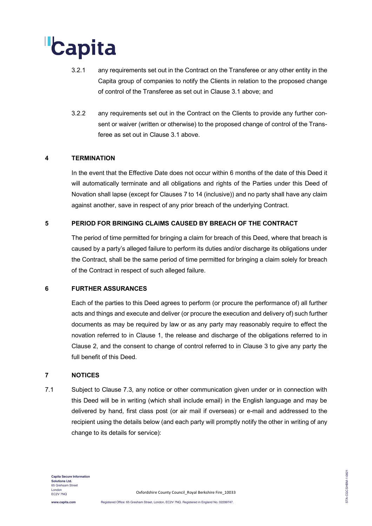# Capita

- 3.2.1 any requirements set out in the Contract on the Transferee or any other entity in the Capita group of companies to notify the Clients in relation to the proposed change of control of the Transferee as set out in Clause 3.1 above; and
- 3.2.2 any requirements set out in the Contract on the Clients to provide any further consent or waiver (written or otherwise) to the proposed change of control of the Transferee as set out in Clause 3.1 above.

#### **4 TERMINATION**

In the event that the Effective Date does not occur within 6 months of the date of this Deed it will automatically terminate and all obligations and rights of the Parties under this Deed of Novation shall lapse (except for Clauses 7 to 14 (inclusive)) and no party shall have any claim against another, save in respect of any prior breach of the underlying Contract.

#### **5 PERIOD FOR BRINGING CLAIMS CAUSED BY BREACH OF THE CONTRACT**

The period of time permitted for bringing a claim for breach of this Deed, where that breach is caused by a party's alleged failure to perform its duties and/or discharge its obligations under the Contract, shall be the same period of time permitted for bringing a claim solely for breach of the Contract in respect of such alleged failure.

#### **6 FURTHER ASSURANCES**

Each of the parties to this Deed agrees to perform (or procure the performance of) all further acts and things and execute and deliver (or procure the execution and delivery of) such further documents as may be required by law or as any party may reasonably require to effect the novation referred to in Clause 1, the release and discharge of the obligations referred to in Clause 2, and the consent to change of control referred to in Clause 3 to give any party the full benefit of this Deed.

#### **7 NOTICES**

7.1 Subject to Clause 7.3, any notice or other communication given under or in connection with this Deed will be in writing (which shall include email) in the English language and may be delivered by hand, first class post (or air mail if overseas) or e-mail and addressed to the recipient using the details below (and each party will promptly notify the other in writing of any change to its details for service):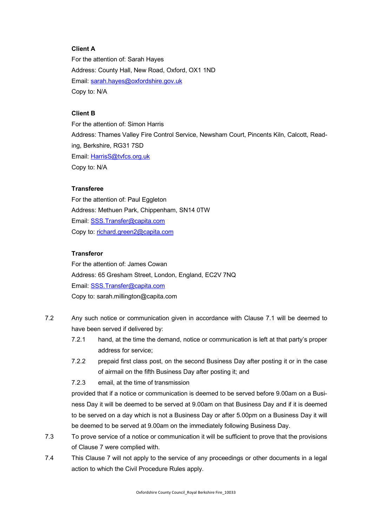#### **Client A**

For the attention of: Sarah Hayes Address: County Hall, New Road, Oxford, OX1 1ND Email: sarah.hayes@oxfordshire.gov.uk Copy to: N/A

#### **Client B**

For the attention of: Simon Harris Address: Thames Valley Fire Control Service, Newsham Court, Pincents Kiln, Calcott, Reading, Berkshire, RG31 7SD Email: HarrisS@tvfcs.org.uk Copy to: N/A

#### **Transferee**

For the attention of: Paul Eggleton Address: Methuen Park, Chippenham, SN14 0TW Email: SSS.Transfer@capita.com Copy to: richard.green2@capita.com

#### **Transferor**

For the attention of: James Cowan Address: 65 Gresham Street, London, England, EC2V 7NQ Email: SSS.Transfer@capita.com Copy to: sarah.millington@capita.com

- 7.2 Any such notice or communication given in accordance with Clause 7.1 will be deemed to have been served if delivered by:
	- 7.2.1 hand, at the time the demand, notice or communication is left at that party's proper address for service;
	- 7.2.2 prepaid first class post, on the second Business Day after posting it or in the case of airmail on the fifth Business Day after posting it; and
	- 7.2.3 email, at the time of transmission

provided that if a notice or communication is deemed to be served before 9.00am on a Business Day it will be deemed to be served at 9.00am on that Business Day and if it is deemed to be served on a day which is not a Business Day or after 5.00pm on a Business Day it will be deemed to be served at 9.00am on the immediately following Business Day.

- 7.3 To prove service of a notice or communication it will be sufficient to prove that the provisions of Clause 7 were complied with.
- 7.4 This Clause 7 will not apply to the service of any proceedings or other documents in a legal action to which the Civil Procedure Rules apply.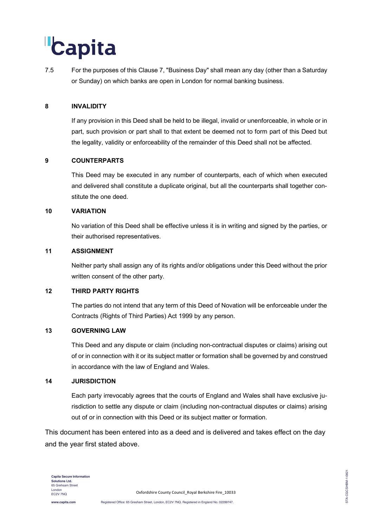# Capita

7.5 For the purposes of this Clause 7, "Business Day" shall mean any day (other than a Saturday or Sunday) on which banks are open in London for normal banking business.

#### **8 INVALIDITY**

If any provision in this Deed shall be held to be illegal, invalid or unenforceable, in whole or in part, such provision or part shall to that extent be deemed not to form part of this Deed but the legality, validity or enforceability of the remainder of this Deed shall not be affected.

#### **9 COUNTERPARTS**

This Deed may be executed in any number of counterparts, each of which when executed and delivered shall constitute a duplicate original, but all the counterparts shall together constitute the one deed.

#### **10 VARIATION**

No variation of this Deed shall be effective unless it is in writing and signed by the parties, or their authorised representatives.

#### **11 ASSIGNMENT**

Neither party shall assign any of its rights and/or obligations under this Deed without the prior written consent of the other party.

#### **12 THIRD PARTY RIGHTS**

The parties do not intend that any term of this Deed of Novation will be enforceable under the Contracts (Rights of Third Parties) Act 1999 by any person.

#### **13 GOVERNING LAW**

This Deed and any dispute or claim (including non-contractual disputes or claims) arising out of or in connection with it or its subject matter or formation shall be governed by and construed in accordance with the law of England and Wales.

#### **14 JURISDICTION**

Each party irrevocably agrees that the courts of England and Wales shall have exclusive jurisdiction to settle any dispute or claim (including non-contractual disputes or claims) arising out of or in connection with this Deed or its subject matter or formation.

This document has been entered into as a deed and is delivered and takes effect on the day and the year first stated above.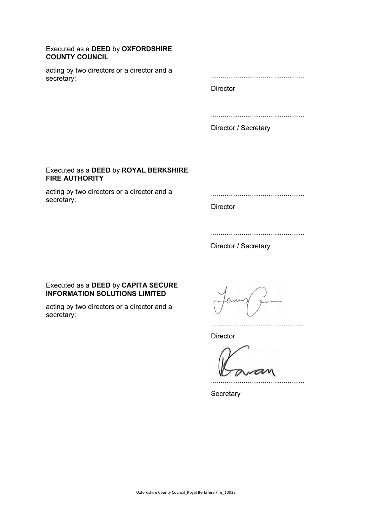#### Executed as a **DEED** by **OXFORDSHIRE COUNTY COUNCIL**

acting by two directors or a director and a secretary:

.................................................

**Director** 

.................................................

Director / Secretary

#### Executed as a **DEED** by **ROYAL BERKSHIRE FIRE AUTHORITY**

acting by two directors or a director and a secretary:

**Director** 

.................................................

Director / Secretary

#### Executed as a **DEED** by **CAPITA SECURE INFORMATION SOLUTIONS LIMITED**

acting by two directors or a director and a secretary:

**Director** 

.................................................

.................................................

**Secretary**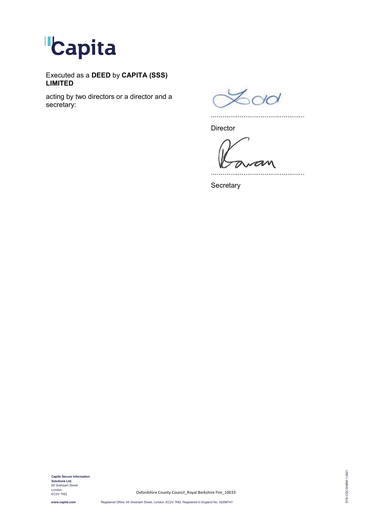

Executed as a **DEED** by **CAPITA (SSS) LIMITED**

acting by two directors or a director and a secretary:

 $600$ 

**Director** 

an

.................................................

.................................................

**Secretary** 

**Capita Secure Information<br><b>Solutions Ltd.**<br>65 Grehsam Street<br>London EC2V 7NQ

Oxfordshire County Council\_Royal Berkshire Fire\_10033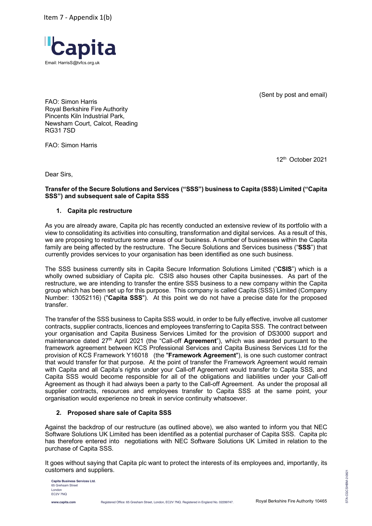Item 7 - Appendix 1(b)



(Sent by post and email)

FAO: Simon Harris Royal Berkshire Fire Authority Pincents Kiln Industrial Park, Newsham Court, Calcot, Reading RG31 7SD

FAO: Simon Harris

12th October 2021

Dear Sirs,

#### **Transfer of the Secure Solutions and Services ("SSS") business to Capita (SSS) Limited ("Capita SSS") and subsequent sale of Capita SSS**

#### **1. Capita plc restructure**

As you are already aware, Capita plc has recently conducted an extensive review of its portfolio with a view to consolidating its activities into consulting, transformation and digital services. As a result of this, we are proposing to restructure some areas of our business. A number of businesses within the Capita family are being affected by the restructure. The Secure Solutions and Services business ("**SSS**") that currently provides services to your organisation has been identified as one such business.

The SSS business currently sits in Capita Secure Information Solutions Limited ("**CSIS**") which is a wholly owned subsidiary of Capita plc. CSIS also houses other Capita businesses. As part of the restructure, we are intending to transfer the entire SSS business to a new company within the Capita group which has been set up for this purpose. This company is called Capita (SSS) Limited (Company Number: 13052116) ("**Capita SSS**"). At this point we do not have a precise date for the proposed transfer.

The transfer of the SSS business to Capita SSS would, in order to be fully effective, involve all customer contracts, supplier contracts, licences and employees transferring to Capita SSS. The contract between your organisation and Capita Business Services Limited for the provision of DS3000 support and maintenance dated 27th April 2021 (the "Call-off **Agreement**"), which was awarded pursuant to the framework agreement between KCS Professional Services and Capita Business Services Ltd for the provision of KCS Framework Y16018 (the "**Framework Agreement**"), is one such customer contract that would transfer for that purpose. At the point of transfer the Framework Agreement would remain with Capita and all Capita's rights under your Call-off Agreement would transfer to Capita SSS, and Capita SSS would become responsible for all of the obligations and liabilities under your Call-off Agreement as though it had always been a party to the Call-off Agreement. As under the proposal all supplier contracts, resources and employees transfer to Capita SSS at the same point, your organisation would experience no break in service continuity whatsoever.

#### **2. Proposed share sale of Capita SSS**

Against the backdrop of our restructure (as outlined above), we also wanted to inform you that NEC Software Solutions UK Limited has been identified as a potential purchaser of Capita SSS. Capita plc has therefore entered into negotiations with NEC Software Solutions UK Limited in relation to the purchase of Capita SSS.

It goes without saying that Capita plc want to protect the interests of its employees and, importantly, its customers and suppliers.

**Capita Business Services Ltd.** 65 Grehsam Street London EC2V 7NQ

STA-CGCSHBM-2-0821

STA-CGCSHBM-2-0821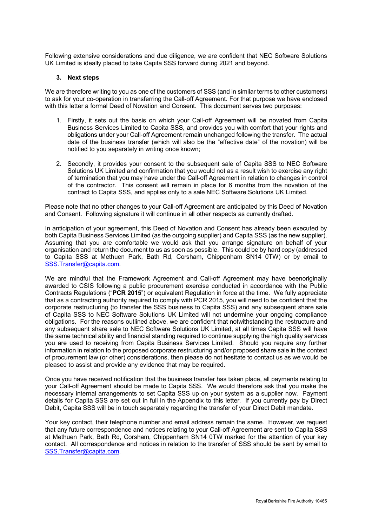Following extensive considerations and due diligence, we are confident that NEC Software Solutions UK Limited is ideally placed to take Capita SSS forward during 2021 and beyond.

#### **3. Next steps**

We are therefore writing to you as one of the customers of SSS (and in similar terms to other customers) to ask for your co-operation in transferring the Call-off Agreement. For that purpose we have enclosed with this letter a formal Deed of Novation and Consent. This document serves two purposes:

- 1. Firstly, it sets out the basis on which your Call-off Agreement will be novated from Capita Business Services Limited to Capita SSS, and provides you with comfort that your rights and obligations under your Call-off Agreement remain unchanged following the transfer. The actual date of the business transfer (which will also be the "effective date" of the novation) will be notified to you separately in writing once known;
- 2. Secondly, it provides your consent to the subsequent sale of Capita SSS to NEC Software Solutions UK Limited and confirmation that you would not as a result wish to exercise any right of termination that you may have under the Call-off Agreement in relation to changes in control of the contractor. This consent will remain in place for 6 months from the novation of the contract to Capita SSS, and applies only to a sale NEC Software Solutions UK Limited.

Please note that no other changes to your Call-off Agreement are anticipated by this Deed of Novation and Consent. Following signature it will continue in all other respects as currently drafted.

In anticipation of your agreement, this Deed of Novation and Consent has already been executed by both Capita Business Services Limited (as the outgoing supplier) and Capita SSS (as the new supplier). Assuming that you are comfortable we would ask that you arrange signature on behalf of your organisation and return the document to us as soon as possible. This could be by hard copy (addressed to Capita SSS at Methuen Park, Bath Rd, Corsham, Chippenham SN14 0TW) or by email to SSS.Transfer@capita.com.

We are mindful that the Framework Agreement and Call-off Agreement may have beenoriginally awarded to CSIS following a public procurement exercise conducted in accordance with the Public Contracts Regulations ("**PCR 2015**") or equivalent Regulation in force at the time. We fully appreciate that as a contracting authority required to comply with PCR 2015, you will need to be confident that the corporate restructuring (to transfer the SSS business to Capita SSS) and any subsequent share sale of Capita SSS to NEC Software Solutions UK Limited will not undermine your ongoing compliance obligations. For the reasons outlined above, we are confident that notwithstanding the restructure and any subsequent share sale to NEC Software Solutions UK Limited, at all times Capita SSS will have the same technical ability and financial standing required to continue supplying the high quality services you are used to receiving from Capita Business Services Limited. Should you require any further information in relation to the proposed corporate restructuring and/or proposed share sale in the context of procurement law (or other) considerations, then please do not hesitate to contact us as we would be pleased to assist and provide any evidence that may be required.

Once you have received notification that the business transfer has taken place, all payments relating to your Call-off Agreement should be made to Capita SSS. We would therefore ask that you make the necessary internal arrangements to set Capita SSS up on your system as a supplier now. Payment details for Capita SSS are set out in full in the Appendix to this letter. If you currently pay by Direct Debit, Capita SSS will be in touch separately regarding the transfer of your Direct Debit mandate.

Your key contact, their telephone number and email address remain the same. However, we request that any future correspondence and notices relating to your Call-off Agreement are sent to Capita SSS at Methuen Park, Bath Rd, Corsham, Chippenham SN14 0TW marked for the attention of your key contact. All correspondence and notices in relation to the transfer of SSS should be sent by email to SSS.Transfer@capita.com.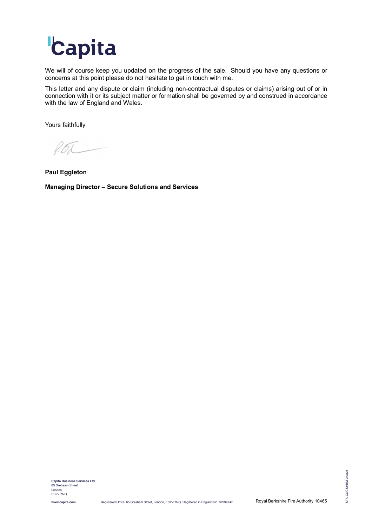

We will of course keep you updated on the progress of the sale. Should you have any questions or concerns at this point please do not hesitate to get in touch with me.

This letter and any dispute or claim (including non-contractual disputes or claims) arising out of or in connection with it or its subject matter or formation shall be governed by and construed in accordance with the law of England and Wales.

Yours faithfully

f. 6L

**Paul Eggleton Managing Director – Secure Solutions and Services**

STA-CGCSHBM-2-0821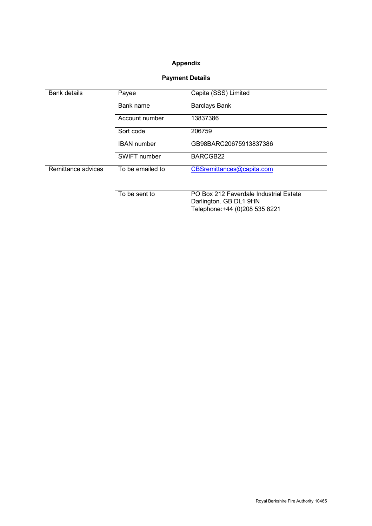#### **Appendix**

### **Payment Details**

| <b>Bank details</b> | Payee              | Capita (SSS) Limited                                                                               |  |  |  |  |  |  |  |  |
|---------------------|--------------------|----------------------------------------------------------------------------------------------------|--|--|--|--|--|--|--|--|
|                     | Bank name          | <b>Barclays Bank</b>                                                                               |  |  |  |  |  |  |  |  |
|                     | Account number     | 13837386                                                                                           |  |  |  |  |  |  |  |  |
|                     | Sort code          | 206759                                                                                             |  |  |  |  |  |  |  |  |
|                     | <b>IBAN</b> number | GB98BARC20675913837386                                                                             |  |  |  |  |  |  |  |  |
|                     | SWIFT number       | BARCGB22                                                                                           |  |  |  |  |  |  |  |  |
| Remittance advices  | To be emailed to   | CBSremittances@capita.com                                                                          |  |  |  |  |  |  |  |  |
|                     | To be sent to      | PO Box 212 Faverdale Industrial Estate<br>Darlington. GB DL1 9HN<br>Telephone: +44 (0)208 535 8221 |  |  |  |  |  |  |  |  |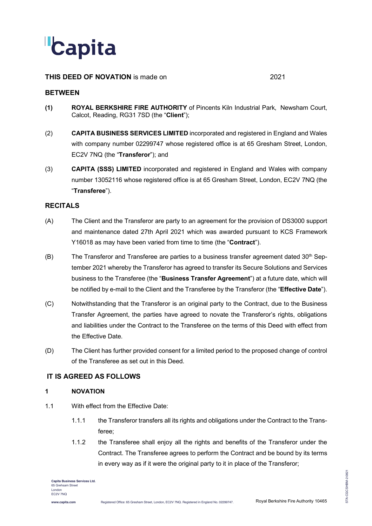

#### **THIS DEED OF NOVATION** is made on 2021

#### **BETWEEN**

- **(1) ROYAL BERKSHIRE FIRE AUTHORITY** of Pincents Kiln Industrial Park, Newsham Court, Calcot, Reading, RG31 7SD (the "**Client**");
- (2) **CAPITA BUSINESS SERVICES LIMITED** incorporated and registered in England and Wales with company number 02299747 whose registered office is at 65 Gresham Street, London, EC2V 7NQ (the "**Transferor**"); and
- (3) **CAPITA (SSS) LIMITED** incorporated and registered in England and Wales with company number 13052116 whose registered office is at 65 Gresham Street, London, EC2V 7NQ (the "**Transferee**").

#### **RECITALS**

- (A) The Client and the Transferor are party to an agreement for the provision of DS3000 support and maintenance dated 27th April 2021 which was awarded pursuant to KCS Framework Y16018 as may have been varied from time to time (the "**Contract**").
- (B) The Transferor and Transferee are parties to a business transfer agreement dated  $30<sup>th</sup>$  September 2021 whereby the Transferor has agreed to transfer its Secure Solutions and Services business to the Transferee (the "**Business Transfer Agreement**") at a future date, which will be notified by e-mail to the Client and the Transferee by the Transferor (the "**Effective Date**").
- (C) Notwithstanding that the Transferor is an original party to the Contract, due to the Business Transfer Agreement, the parties have agreed to novate the Transferor's rights, obligations and liabilities under the Contract to the Transferee on the terms of this Deed with effect from the Effective Date.
- (D) The Client has further provided consent for a limited period to the proposed change of control of the Transferee as set out in this Deed.

#### **IT IS AGREED AS FOLLOWS**

#### **1 NOVATION**

- 1.1 With effect from the Effective Date:
	- 1.1.1 the Transferor transfers all its rights and obligations under the Contract to the Transferee;
	- 1.1.2 the Transferee shall enjoy all the rights and benefits of the Transferor under the Contract. The Transferee agrees to perform the Contract and be bound by its terms in every way as if it were the original party to it in place of the Transferor;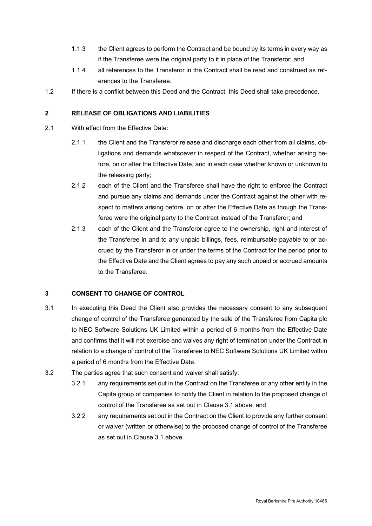- 1.1.3 the Client agrees to perform the Contract and be bound by its terms in every way as if the Transferee were the original party to it in place of the Transferor; and
- 1.1.4 all references to the Transferor in the Contract shall be read and construed as references to the Transferee.
- 1.2 If there is a conflict between this Deed and the Contract, this Deed shall take precedence.

#### **2 RELEASE OF OBLIGATIONS AND LIABILITIES**

- 2.1 With effect from the Effective Date:
	- 2.1.1 the Client and the Transferor release and discharge each other from all claims, obligations and demands whatsoever in respect of the Contract, whether arising before, on or after the Effective Date, and in each case whether known or unknown to the releasing party;
	- 2.1.2 each of the Client and the Transferee shall have the right to enforce the Contract and pursue any claims and demands under the Contract against the other with respect to matters arising before, on or after the Effective Date as though the Transferee were the original party to the Contract instead of the Transferor; and
	- 2.1.3 each of the Client and the Transferor agree to the ownership, right and interest of the Transferee in and to any unpaid billings, fees, reimbursable payable to or accrued by the Transferor in or under the terms of the Contract for the period prior to the Effective Date and the Client agrees to pay any such unpaid or accrued amounts to the Transferee.

#### **3 CONSENT TO CHANGE OF CONTROL**

- 3.1 In executing this Deed the Client also provides the necessary consent to any subsequent change of control of the Transferee generated by the sale of the Transferee from Capita plc to NEC Software Solutions UK Limited within a period of 6 months from the Effective Date and confirms that it will not exercise and waives any right of termination under the Contract in relation to a change of control of the Transferee to NEC Software Solutions UK Limited within a period of 6 months from the Effective Date.
- 3.2 The parties agree that such consent and waiver shall satisfy:
	- 3.2.1 any requirements set out in the Contract on the Transferee or any other entity in the Capita group of companies to notify the Client in relation to the proposed change of control of the Transferee as set out in Clause 3.1 above; and
	- 3.2.2 any requirements set out in the Contract on the Client to provide any further consent or waiver (written or otherwise) to the proposed change of control of the Transferee as set out in Clause 3.1 above.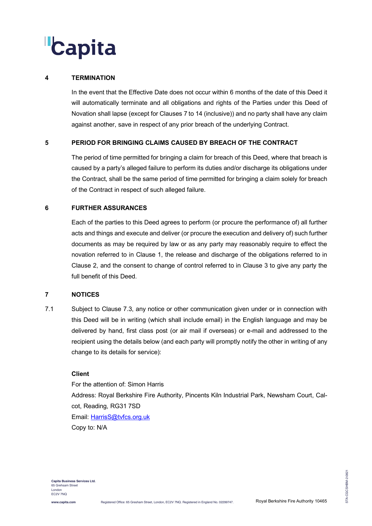# Capita

#### **4 TERMINATION**

In the event that the Effective Date does not occur within 6 months of the date of this Deed it will automatically terminate and all obligations and rights of the Parties under this Deed of Novation shall lapse (except for Clauses 7 to 14 (inclusive)) and no party shall have any claim against another, save in respect of any prior breach of the underlying Contract.

#### **5 PERIOD FOR BRINGING CLAIMS CAUSED BY BREACH OF THE CONTRACT**

The period of time permitted for bringing a claim for breach of this Deed, where that breach is caused by a party's alleged failure to perform its duties and/or discharge its obligations under the Contract, shall be the same period of time permitted for bringing a claim solely for breach of the Contract in respect of such alleged failure.

#### **6 FURTHER ASSURANCES**

Each of the parties to this Deed agrees to perform (or procure the performance of) all further acts and things and execute and deliver (or procure the execution and delivery of) such further documents as may be required by law or as any party may reasonably require to effect the novation referred to in Clause 1, the release and discharge of the obligations referred to in Clause 2, and the consent to change of control referred to in Clause 3 to give any party the full benefit of this Deed.

#### **7 NOTICES**

7.1 Subject to Clause 7.3, any notice or other communication given under or in connection with this Deed will be in writing (which shall include email) in the English language and may be delivered by hand, first class post (or air mail if overseas) or e-mail and addressed to the recipient using the details below (and each party will promptly notify the other in writing of any change to its details for service):

#### **Client**

For the attention of: Simon Harris Address: Royal Berkshire Fire Authority, Pincents Kiln Industrial Park, Newsham Court, Calcot, Reading, RG31 7SD Email: HarrisS@tvfcs.org.uk Copy to: N/A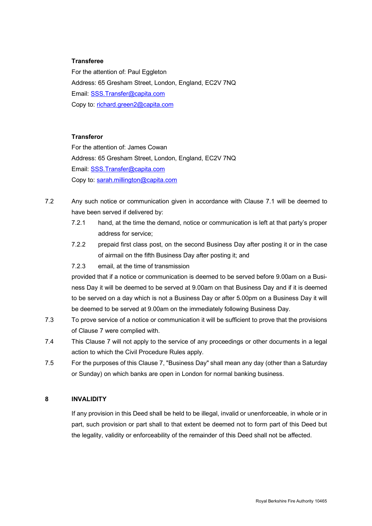#### **Transferee**

For the attention of: Paul Eggleton Address: 65 Gresham Street, London, England, EC2V 7NQ Email: SSS.Transfer@capita.com Copy to: richard.green2@capita.com

#### **Transferor**

For the attention of: James Cowan Address: 65 Gresham Street, London, England, EC2V 7NQ Email: SSS.Transfer@capita.com Copy to: sarah.millington@capita.com

- 7.2 Any such notice or communication given in accordance with Clause 7.1 will be deemed to have been served if delivered by:
	- 7.2.1 hand, at the time the demand, notice or communication is left at that party's proper address for service;
	- 7.2.2 prepaid first class post, on the second Business Day after posting it or in the case of airmail on the fifth Business Day after posting it; and
	- 7.2.3 email, at the time of transmission

provided that if a notice or communication is deemed to be served before 9.00am on a Business Day it will be deemed to be served at 9.00am on that Business Day and if it is deemed to be served on a day which is not a Business Day or after 5.00pm on a Business Day it will be deemed to be served at 9.00am on the immediately following Business Day.

- 7.3 To prove service of a notice or communication it will be sufficient to prove that the provisions of Clause 7 were complied with.
- 7.4 This Clause 7 will not apply to the service of any proceedings or other documents in a legal action to which the Civil Procedure Rules apply.
- 7.5 For the purposes of this Clause 7, "Business Day" shall mean any day (other than a Saturday or Sunday) on which banks are open in London for normal banking business.

#### **8 INVALIDITY**

If any provision in this Deed shall be held to be illegal, invalid or unenforceable, in whole or in part, such provision or part shall to that extent be deemed not to form part of this Deed but the legality, validity or enforceability of the remainder of this Deed shall not be affected.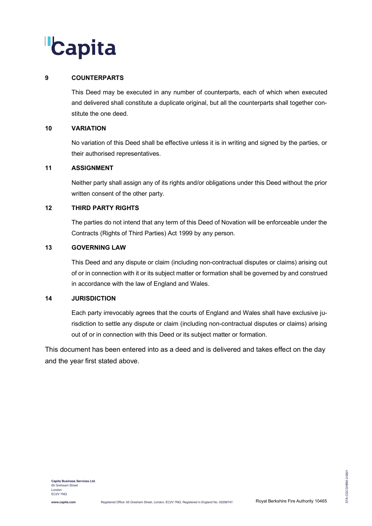# **Capita**

#### **9 COUNTERPARTS**

This Deed may be executed in any number of counterparts, each of which when executed and delivered shall constitute a duplicate original, but all the counterparts shall together constitute the one deed.

#### **10 VARIATION**

No variation of this Deed shall be effective unless it is in writing and signed by the parties, or their authorised representatives.

#### **11 ASSIGNMENT**

Neither party shall assign any of its rights and/or obligations under this Deed without the prior written consent of the other party.

#### **12 THIRD PARTY RIGHTS**

The parties do not intend that any term of this Deed of Novation will be enforceable under the Contracts (Rights of Third Parties) Act 1999 by any person.

#### **13 GOVERNING LAW**

This Deed and any dispute or claim (including non-contractual disputes or claims) arising out of or in connection with it or its subject matter or formation shall be governed by and construed in accordance with the law of England and Wales.

#### **14 JURISDICTION**

Each party irrevocably agrees that the courts of England and Wales shall have exclusive jurisdiction to settle any dispute or claim (including non-contractual disputes or claims) arising out of or in connection with this Deed or its subject matter or formation.

This document has been entered into as a deed and is delivered and takes effect on the day and the year first stated above.